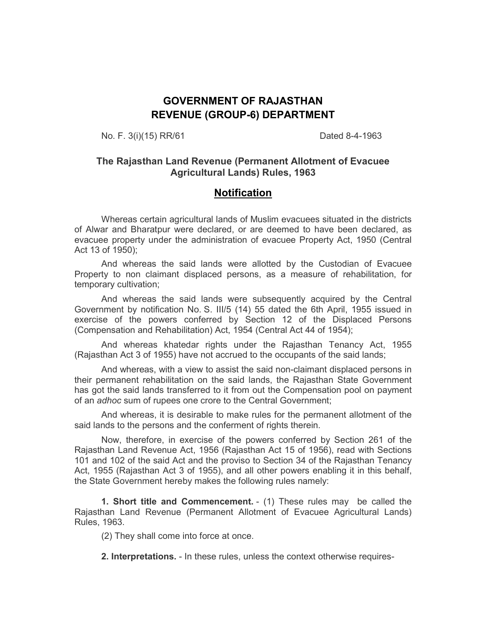# **GOVERNMENT OF RAJASTHAN REVENUE (GROUP-6) DEPARTMENT**

No. F. 3(i)(15) RR/61 Dated 8-4-1963

#### **The Rajasthan Land Revenue (Permanent Allotment of Evacuee Agricultural Lands) Rules, 1963**

# **Notification**

Whereas certain agricultural lands of Muslim evacuees situated in the districts of Alwar and Bharatpur were declared, or are deemed to have been declared, as evacuee property under the administration of evacuee Property Act, 1950 (Central Act 13 of 1950);

 And whereas the said lands were allotted by the Custodian of Evacuee Property to non claimant displaced persons, as a measure of rehabilitation, for temporary cultivation;

 And whereas the said lands were subsequently acquired by the Central Government by notification No. S. III/5 (14) 55 dated the 6th April, 1955 issued in exercise of the powers conferred by Section 12 of the Displaced Persons (Compensation and Rehabilitation) Act, 1954 (Central Act 44 of 1954);

 And whereas khatedar rights under the Rajasthan Tenancy Act, 1955 (Rajasthan Act 3 of 1955) have not accrued to the occupants of the said lands;

 And whereas, with a view to assist the said non-claimant displaced persons in their permanent rehabilitation on the said lands, the Rajasthan State Government has got the said lands transferred to it from out the Compensation pool on payment of an *adhoc* sum of rupees one crore to the Central Government;

 And whereas, it is desirable to make rules for the permanent allotment of the said lands to the persons and the conferment of rights therein.

Now, therefore, in exercise of the powers conferred by Section 261 of the Rajasthan Land Revenue Act, 1956 (Rajasthan Act 15 of 1956), read with Sections 101 and 102 of the said Act and the proviso to Section 34 of the Rajasthan Tenancy Act, 1955 (Rajasthan Act 3 of 1955), and all other powers enabling it in this behalf, the State Government hereby makes the following rules namely:

**1. Short title and Commencement.** - (1) These rules may be called the Rajasthan Land Revenue (Permanent Allotment of Evacuee Agricultural Lands) Rules, 1963.

(2) They shall come into force at once.

**2. Interpretations.** - In these rules, unless the context otherwise requires-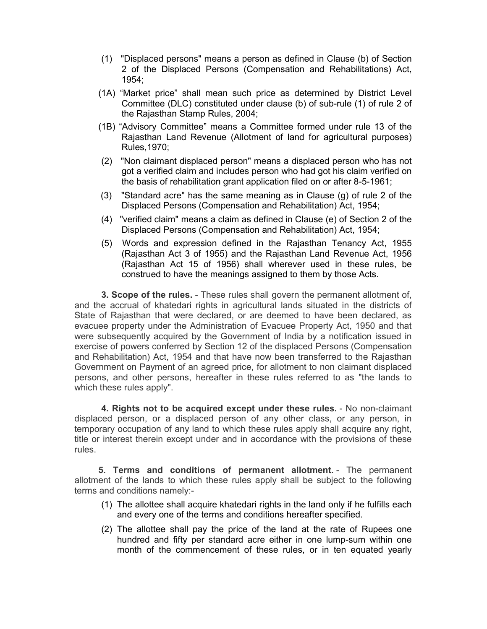- (1) "Displaced persons" means a person as defined in Clause (b) of Section 2 of the Displaced Persons (Compensation and Rehabilitations) Act, 1954;
- (1A) "Market price" shall mean such price as determined by District Level Committee (DLC) constituted under clause (b) of sub-rule (1) of rule 2 of the Rajasthan Stamp Rules, 2004;
- (1B) "Advisory Committee" means a Committee formed under rule 13 of the Rajasthan Land Revenue (Allotment of land for agricultural purposes) Rules,1970;
- (2) "Non claimant displaced person" means a displaced person who has not got a verified claim and includes person who had got his claim verified on the basis of rehabilitation grant application filed on or after 8-5-1961;
- (3) "Standard acre" has the same meaning as in Clause (g) of rule 2 of the Displaced Persons (Compensation and Rehabilitation) Act, 1954;
- (4) "verified claim" means a claim as defined in Clause (e) of Section 2 of the Displaced Persons (Compensation and Rehabilitation) Act, 1954;
- (5) Words and expression defined in the Rajasthan Tenancy Act, 1955 (Rajasthan Act 3 of 1955) and the Rajasthan Land Revenue Act, 1956 (Rajasthan Act 15 of 1956) shall wherever used in these rules, be construed to have the meanings assigned to them by those Acts.

**3. Scope of the rules.** - These rules shall govern the permanent allotment of, and the accrual of khatedari rights in agricultural lands situated in the districts of State of Rajasthan that were declared, or are deemed to have been declared, as evacuee property under the Administration of Evacuee Property Act, 1950 and that were subsequently acquired by the Government of India by a notification issued in exercise of powers conferred by Section 12 of the displaced Persons (Compensation and Rehabilitation) Act, 1954 and that have now been transferred to the Rajasthan Government on Payment of an agreed price, for allotment to non claimant displaced persons, and other persons, hereafter in these rules referred to as "the lands to which these rules apply".

**4. Rights not to be acquired except under these rules.** - No non-claimant displaced person, or a displaced person of any other class, or any person, in temporary occupation of any land to which these rules apply shall acquire any right, title or interest therein except under and in accordance with the provisions of these rules.

**5. Terms and conditions of permanent allotment.** - The permanent allotment of the lands to which these rules apply shall be subject to the following terms and conditions namely:-

- (1) The allottee shall acquire khatedari rights in the land only if he fulfills each and every one of the terms and conditions hereafter specified.
- (2) The allottee shall pay the price of the land at the rate of Rupees one hundred and fifty per standard acre either in one lump-sum within one month of the commencement of these rules, or in ten equated yearly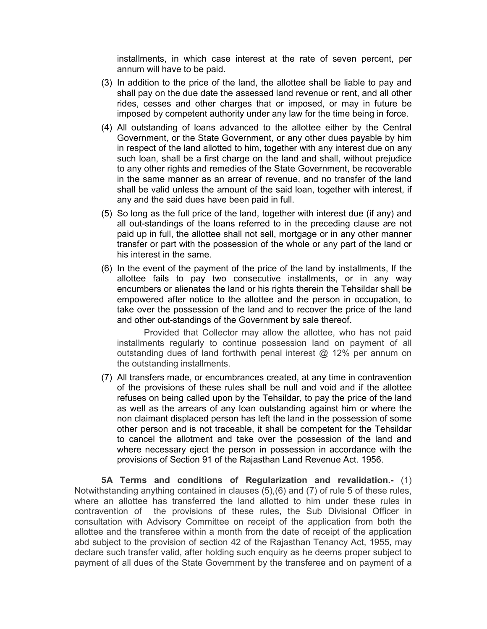installments, in which case interest at the rate of seven percent, per annum will have to be paid.

- (3) In addition to the price of the land, the allottee shall be liable to pay and shall pay on the due date the assessed land revenue or rent, and all other rides, cesses and other charges that or imposed, or may in future be imposed by competent authority under any law for the time being in force.
- (4) All outstanding of loans advanced to the allottee either by the Central Government, or the State Government, or any other dues payable by him in respect of the land allotted to him, together with any interest due on any such loan, shall be a first charge on the land and shall, without prejudice to any other rights and remedies of the State Government, be recoverable in the same manner as an arrear of revenue, and no transfer of the land shall be valid unless the amount of the said loan, together with interest, if any and the said dues have been paid in full.
- (5) So long as the full price of the land, together with interest due (if any) and all out-standings of the loans referred to in the preceding clause are not paid up in full, the allottee shall not sell, mortgage or in any other manner transfer or part with the possession of the whole or any part of the land or his interest in the same.
- (6) In the event of the payment of the price of the land by installments, If the allottee fails to pay two consecutive installments, or in any way encumbers or alienates the land or his rights therein the Tehsildar shall be empowered after notice to the allottee and the person in occupation, to take over the possession of the land and to recover the price of the land and other out-standings of the Government by sale thereof.

Provided that Collector may allow the allottee, who has not paid installments regularly to continue possession land on payment of all outstanding dues of land forthwith penal interest @ 12% per annum on the outstanding installments.

(7) All transfers made, or encumbrances created, at any time in contravention of the provisions of these rules shall be null and void and if the allottee refuses on being called upon by the Tehsildar, to pay the price of the land as well as the arrears of any loan outstanding against him or where the non claimant displaced person has left the land in the possession of some other person and is not traceable, it shall be competent for the Tehsildar to cancel the allotment and take over the possession of the land and where necessary eject the person in possession in accordance with the provisions of Section 91 of the Rajasthan Land Revenue Act. 1956.

**5A Terms and conditions of Regularization and revalidation.-** (1) Notwithstanding anything contained in clauses (5),(6) and (7) of rule 5 of these rules, where an allottee has transferred the land allotted to him under these rules in contravention of the provisions of these rules, the Sub Divisional Officer in consultation with Advisory Committee on receipt of the application from both the allottee and the transferee within a month from the date of receipt of the application abd subject to the provision of section 42 of the Rajasthan Tenancy Act, 1955, may declare such transfer valid, after holding such enquiry as he deems proper subject to payment of all dues of the State Government by the transferee and on payment of a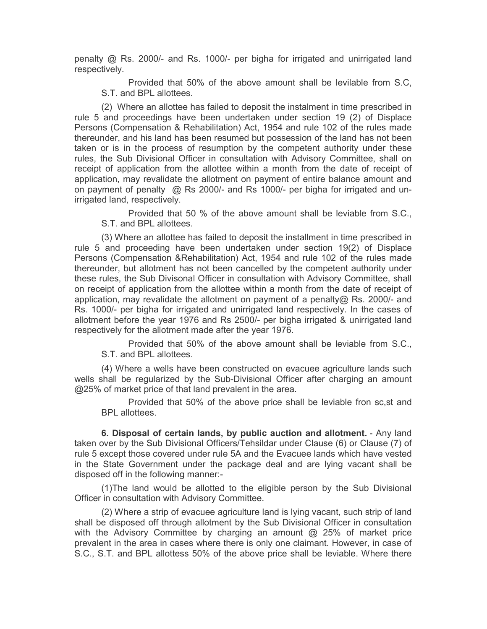penalty @ Rs. 2000/- and Rs. 1000/- per bigha for irrigated and unirrigated land respectively.

Provided that 50% of the above amount shall be levilable from S.C, S.T. and BPL allottees.

(2)Where an allottee has failed to deposit the instalment in time prescribed in rule 5 and proceedings have been undertaken under section 19 (2) of Displace Persons (Compensation & Rehabilitation) Act, 1954 and rule 102 of the rules made thereunder, and his land has been resumed but possession of the land has not been taken or is in the process of resumption by the competent authority under these rules, the Sub Divisional Officer in consultation with Advisory Committee, shall on receipt of application from the allottee within a month from the date of receipt of application, may revalidate the allotment on payment of entire balance amount and on payment of penalty @ Rs 2000/- and Rs 1000/- per bigha for irrigated and unirrigated land, respectively.

Provided that 50 % of the above amount shall be leviable from S.C., S.T. and BPL allottees.

(3) Where an allottee has failed to deposit the installment in time prescribed in rule 5 and proceeding have been undertaken under section 19(2) of Displace Persons (Compensation &Rehabilitation) Act, 1954 and rule 102 of the rules made thereunder, but allotment has not been cancelled by the competent authority under these rules, the Sub Divisonal Officer in consultation with Advisory Committee, shall on receipt of application from the allottee within a month from the date of receipt of application, may revalidate the allotment on payment of a penalty@ Rs. 2000/- and Rs. 1000/- per bigha for irrigated and unirrigated land respectively. In the cases of allotment before the year 1976 and Rs 2500/- per bigha irrigated & unirrigated land respectively for the allotment made after the year 1976.

Provided that 50% of the above amount shall be leviable from S.C., S.T. and BPL allottees.

(4) Where a wells have been constructed on evacuee agriculture lands such wells shall be regularized by the Sub-Divisional Officer after charging an amount @25% of market price of that land prevalent in the area.

Provided that 50% of the above price shall be leviable fron sc,st and BPL allottees.

**6. Disposal of certain lands, by public auction and allotment.** - Any land taken over by the Sub Divisional Officers/Tehsildar under Clause (6) or Clause (7) of rule 5 except those covered under rule 5A and the Evacuee lands which have vested in the State Government under the package deal and are lying vacant shall be disposed off in the following manner:-

(1)The land would be allotted to the eligible person by the Sub Divisional Officer in consultation with Advisory Committee.

(2) Where a strip of evacuee agriculture land is lying vacant, such strip of land shall be disposed off through allotment by the Sub Divisional Officer in consultation with the Advisory Committee by charging an amount @ 25% of market price prevalent in the area in cases where there is only one claimant. However, in case of S.C., S.T. and BPL allottess 50% of the above price shall be leviable. Where there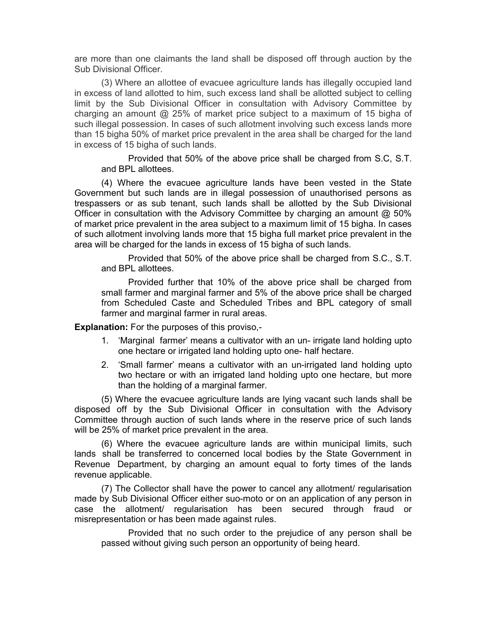are more than one claimants the land shall be disposed off through auction by the Sub Divisional Officer.

(3) Where an allottee of evacuee agriculture lands has illegally occupied land in excess of land allotted to him, such excess land shall be allotted subject to celling limit by the Sub Divisional Officer in consultation with Advisory Committee by charging an amount @ 25% of market price subject to a maximum of 15 bigha of such illegal possession. In cases of such allotment involving such excess lands more than 15 bigha 50% of market price prevalent in the area shall be charged for the land in excess of 15 bigha of such lands.

Provided that 50% of the above price shall be charged from S.C, S.T. and BPL allottees.

(4) Where the evacuee agriculture lands have been vested in the State Government but such lands are in illegal possession of unauthorised persons as trespassers or as sub tenant, such lands shall be allotted by the Sub Divisional Officer in consultation with the Advisory Committee by charging an amount @ 50% of market price prevalent in the area subject to a maximum limit of 15 bigha. In cases of such allotment involving lands more that 15 bigha full market price prevalent in the area will be charged for the lands in excess of 15 bigha of such lands.

Provided that 50% of the above price shall be charged from S.C., S.T. and BPL allottees.

Provided further that 10% of the above price shall be charged from small farmer and marginal farmer and 5% of the above price shall be charged from Scheduled Caste and Scheduled Tribes and BPL category of small farmer and marginal farmer in rural areas.

**Explanation:** For the purposes of this proviso,-

- 1. 'Marginal farmer' means a cultivator with an un- irrigate land holding upto one hectare or irrigated land holding upto one- half hectare.
- 2. 'Small farmer' means a cultivator with an un-irrigated land holding upto two hectare or with an irrigated land holding upto one hectare, but more than the holding of a marginal farmer.

(5) Where the evacuee agriculture lands are lying vacant such lands shall be disposed off by the Sub Divisional Officer in consultation with the Advisory Committee through auction of such lands where in the reserve price of such lands will be 25% of market price prevalent in the area.

(6) Where the evacuee agriculture lands are within municipal limits, such lands shall be transferred to concerned local bodies by the State Government in Revenue Department, by charging an amount equal to forty times of the lands revenue applicable.

(7) The Collector shall have the power to cancel any allotment/ regularisation made by Sub Divisional Officer either suo-moto or on an application of any person in case the allotment/ regularisation has been secured through fraud or misrepresentation or has been made against rules.

Provided that no such order to the prejudice of any person shall be passed without giving such person an opportunity of being heard.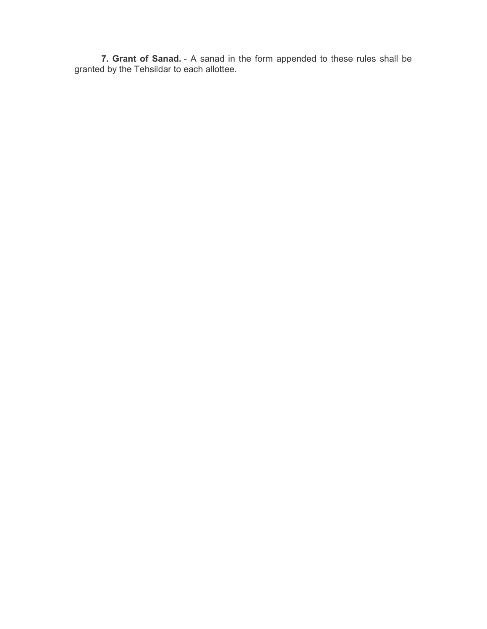**7. Grant of Sanad.** - A sanad in the form appended to these rules shall be granted by the Tehsildar to each allottee.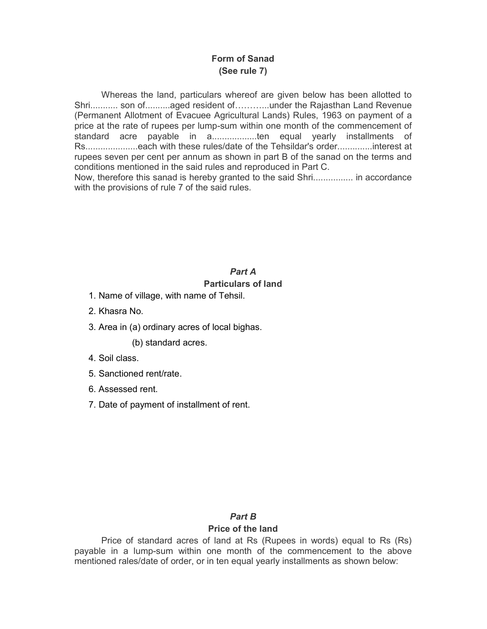# **Form of Sanad (See rule 7)**

Whereas the land, particulars whereof are given below has been allotted to Shri........... son of...........aged resident of............under the Rajasthan Land Revenue (Permanent Allotment of Evacuee Agricultural Lands) Rules, 1963 on payment of a price at the rate of rupees per lump-sum within one month of the commencement of standard acre payable in a..................ten equal yearly installments of Rs.....................each with these rules/date of the Tehsildar's order..............interest at rupees seven per cent per annum as shown in part B of the sanad on the terms and conditions mentioned in the said rules and reproduced in Part C.

Now, therefore this sanad is hereby granted to the said Shri................ in accordance with the provisions of rule 7 of the said rules.

# *Part A*

#### **Particulars of land**

- 1. Name of village, with name of Tehsil.
- 2. Khasra No.
- 3. Area in (a) ordinary acres of local bighas.

(b) standard acres.

- 4. Soil class.
- 5. Sanctioned rent/rate.
- 6. Assessed rent.
- 7. Date of payment of installment of rent.

#### *Part B*

# **Price of the land**

Price of standard acres of land at Rs (Rupees in words) equal to Rs (Rs) payable in a lump-sum within one month of the commencement to the above mentioned rales/date of order, or in ten equal yearly installments as shown below: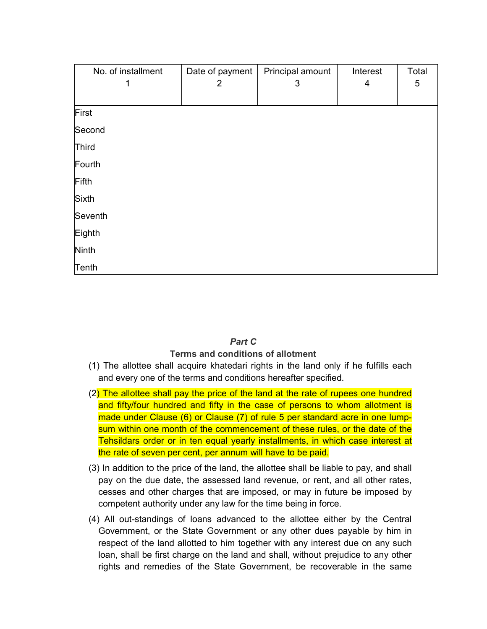| No. of installment | Date of payment<br>2 | Principal amount<br>3 | Interest<br>4 | Total<br>5 |
|--------------------|----------------------|-----------------------|---------------|------------|
|                    |                      |                       |               |            |
| First              |                      |                       |               |            |
| Second             |                      |                       |               |            |
| Third              |                      |                       |               |            |
| Fourth             |                      |                       |               |            |
| Fifth              |                      |                       |               |            |
| Sixth              |                      |                       |               |            |
| Seventh            |                      |                       |               |            |
| Eighth             |                      |                       |               |            |
| Ninth              |                      |                       |               |            |
| Tenth              |                      |                       |               |            |

# *Part C*

# **Terms and conditions of allotment**

- (1) The allottee shall acquire khatedari rights in the land only if he fulfills each and every one of the terms and conditions hereafter specified.
- $(2)$  The allottee shall pay the price of the land at the rate of rupees one hundred and fifty/four hundred and fifty in the case of persons to whom allotment is made under Clause (6) or Clause (7) of rule 5 per standard acre in one lumpsum within one month of the commencement of these rules, or the date of the Tehsildars order or in ten equal yearly installments, in which case interest at the rate of seven per cent, per annum will have to be paid.
- (3) In addition to the price of the land, the allottee shall be liable to pay, and shall pay on the due date, the assessed land revenue, or rent, and all other rates, cesses and other charges that are imposed, or may in future be imposed by competent authority under any law for the time being in force.
- (4) All out-standings of loans advanced to the allottee either by the Central Government, or the State Government or any other dues payable by him in respect of the land allotted to him together with any interest due on any such loan, shall be first charge on the land and shall, without prejudice to any other rights and remedies of the State Government, be recoverable in the same